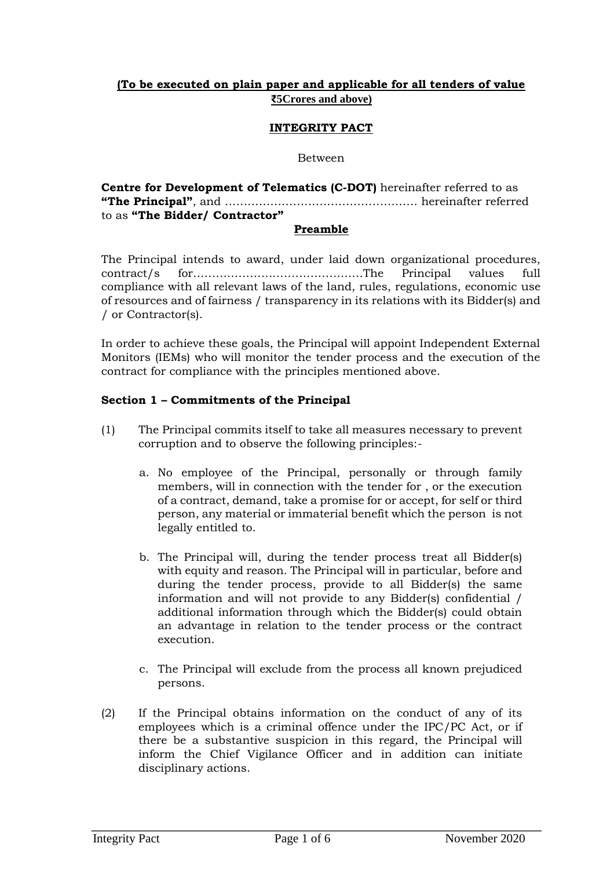# **(To be executed on plain paper and applicable for all tenders of value ₹5Crores and above)**

### **INTEGRITY PACT**

#### Between

| <b>Centre for Development of Telematics (C-DOT)</b> hereinafter referred to as |  |
|--------------------------------------------------------------------------------|--|
|                                                                                |  |
| to as "The Bidder/ Contractor"                                                 |  |

#### **Preamble**

The Principal intends to award, under laid down organizational procedures, contract/s for………………………………………The Principal values full compliance with all relevant laws of the land, rules, regulations, economic use of resources and of fairness / transparency in its relations with its Bidder(s) and / or Contractor(s).

In order to achieve these goals, the Principal will appoint Independent External Monitors (IEMs) who will monitor the tender process and the execution of the contract for compliance with the principles mentioned above.

#### **Section 1 – Commitments of the Principal**

- (1) The Principal commits itself to take all measures necessary to prevent corruption and to observe the following principles:
	- a. No employee of the Principal, personally or through family members, will in connection with the tender for , or the execution of a contract, demand, take a promise for or accept, for self or third person, any material or immaterial benefit which the person is not legally entitled to.
	- b. The Principal will, during the tender process treat all Bidder(s) with equity and reason. The Principal will in particular, before and during the tender process, provide to all Bidder(s) the same information and will not provide to any Bidder(s) confidential / additional information through which the Bidder(s) could obtain an advantage in relation to the tender process or the contract execution.
	- c. The Principal will exclude from the process all known prejudiced persons.
- (2) If the Principal obtains information on the conduct of any of its employees which is a criminal offence under the IPC/PC Act, or if there be a substantive suspicion in this regard, the Principal will inform the Chief Vigilance Officer and in addition can initiate disciplinary actions.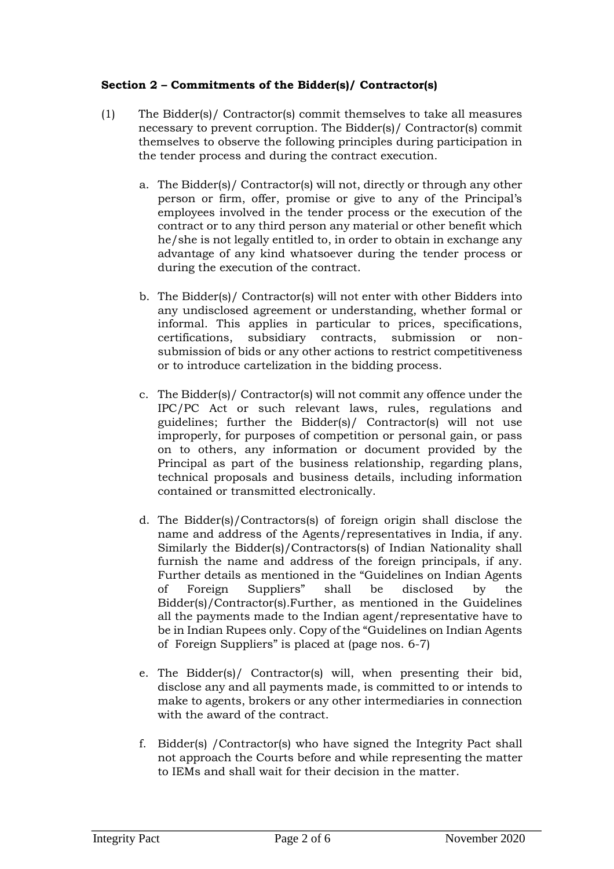# **Section 2 – Commitments of the Bidder(s)/ Contractor(s)**

- (1) The Bidder(s)/ Contractor(s) commit themselves to take all measures necessary to prevent corruption. The Bidder(s)/ Contractor(s) commit themselves to observe the following principles during participation in the tender process and during the contract execution.
	- a. The Bidder(s)/ Contractor(s) will not, directly or through any other person or firm, offer, promise or give to any of the Principal's employees involved in the tender process or the execution of the contract or to any third person any material or other benefit which he/she is not legally entitled to, in order to obtain in exchange any advantage of any kind whatsoever during the tender process or during the execution of the contract.
	- b. The Bidder(s)/ Contractor(s) will not enter with other Bidders into any undisclosed agreement or understanding, whether formal or informal. This applies in particular to prices, specifications, certifications, subsidiary contracts, submission or nonsubmission of bids or any other actions to restrict competitiveness or to introduce cartelization in the bidding process.
	- c. The Bidder(s)/ Contractor(s) will not commit any offence under the IPC/PC Act or such relevant laws, rules, regulations and guidelines; further the Bidder(s)/ Contractor(s) will not use improperly, for purposes of competition or personal gain, or pass on to others, any information or document provided by the Principal as part of the business relationship, regarding plans, technical proposals and business details, including information contained or transmitted electronically.
	- d. The Bidder(s)/Contractors(s) of foreign origin shall disclose the name and address of the Agents/representatives in India, if any. Similarly the Bidder(s)/Contractors(s) of Indian Nationality shall furnish the name and address of the foreign principals, if any. Further details as mentioned in the "Guidelines on Indian Agents of Foreign Suppliers" shall be disclosed by the Bidder(s)/Contractor(s).Further, as mentioned in the Guidelines all the payments made to the Indian agent/representative have to be in Indian Rupees only. Copy of the "Guidelines on Indian Agents of Foreign Suppliers" is placed at (page nos. 6-7)
	- e. The Bidder(s)/ Contractor(s) will, when presenting their bid, disclose any and all payments made, is committed to or intends to make to agents, brokers or any other intermediaries in connection with the award of the contract.
	- f. Bidder(s) /Contractor(s) who have signed the Integrity Pact shall not approach the Courts before and while representing the matter to IEMs and shall wait for their decision in the matter.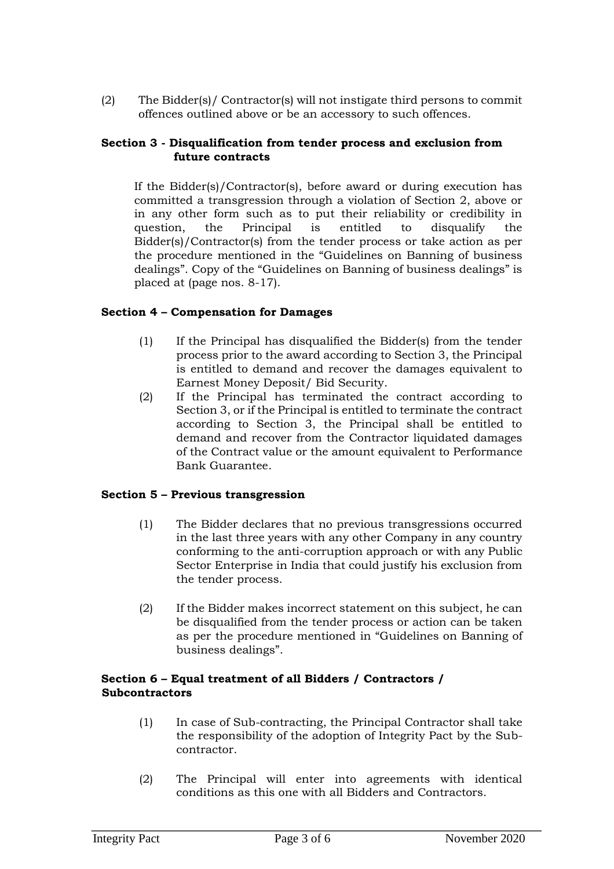(2) The Bidder(s)/ Contractor(s) will not instigate third persons to commit offences outlined above or be an accessory to such offences.

## **Section 3 - Disqualification from tender process and exclusion from future contracts**

If the Bidder(s)/Contractor(s), before award or during execution has committed a transgression through a violation of Section 2, above or in any other form such as to put their reliability or credibility in question, the Principal is entitled to disqualify the Bidder(s)/Contractor(s) from the tender process or take action as per the procedure mentioned in the "Guidelines on Banning of business dealings". Copy of the "Guidelines on Banning of business dealings" is placed at (page nos. 8-17).

## **Section 4 – Compensation for Damages**

- (1) If the Principal has disqualified the Bidder(s) from the tender process prior to the award according to Section 3, the Principal is entitled to demand and recover the damages equivalent to Earnest Money Deposit/ Bid Security.
- (2) If the Principal has terminated the contract according to Section 3, or if the Principal is entitled to terminate the contract according to Section 3, the Principal shall be entitled to demand and recover from the Contractor liquidated damages of the Contract value or the amount equivalent to Performance Bank Guarantee.

# **Section 5 – Previous transgression**

- (1) The Bidder declares that no previous transgressions occurred in the last three years with any other Company in any country conforming to the anti-corruption approach or with any Public Sector Enterprise in India that could justify his exclusion from the tender process.
- (2) If the Bidder makes incorrect statement on this subject, he can be disqualified from the tender process or action can be taken as per the procedure mentioned in "Guidelines on Banning of business dealings".

### **Section 6 – Equal treatment of all Bidders / Contractors / Subcontractors**

- (1) In case of Sub-contracting, the Principal Contractor shall take the responsibility of the adoption of Integrity Pact by the Subcontractor.
- (2) The Principal will enter into agreements with identical conditions as this one with all Bidders and Contractors.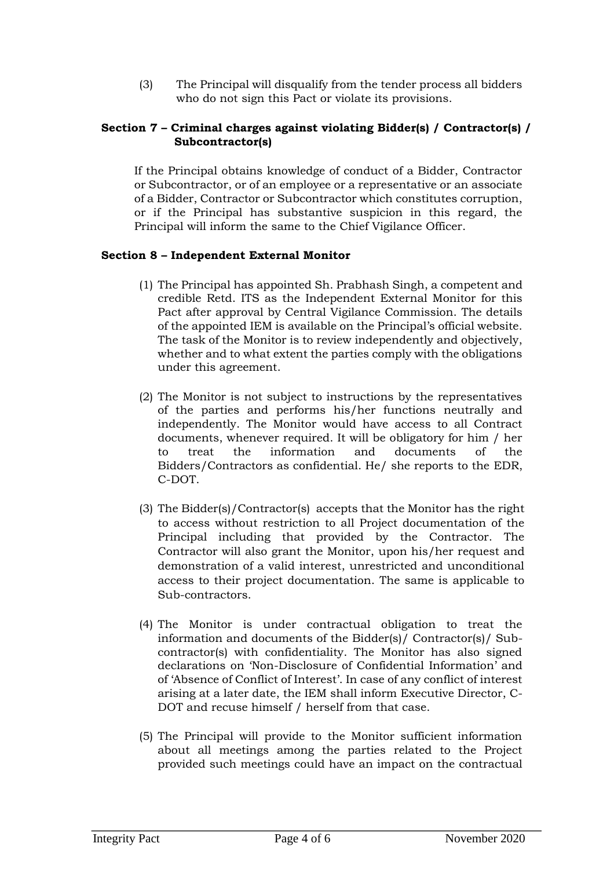(3) The Principal will disqualify from the tender process all bidders who do not sign this Pact or violate its provisions.

# **Section 7 – Criminal charges against violating Bidder(s) / Contractor(s) / Subcontractor(s)**

If the Principal obtains knowledge of conduct of a Bidder, Contractor or Subcontractor, or of an employee or a representative or an associate of a Bidder, Contractor or Subcontractor which constitutes corruption, or if the Principal has substantive suspicion in this regard, the Principal will inform the same to the Chief Vigilance Officer.

## **Section 8 – Independent External Monitor**

- (1) The Principal has appointed Sh. Prabhash Singh, a competent and credible Retd. ITS as the Independent External Monitor for this Pact after approval by Central Vigilance Commission. The details of the appointed IEM is available on the Principal's official website. The task of the Monitor is to review independently and objectively, whether and to what extent the parties comply with the obligations under this agreement.
- (2) The Monitor is not subject to instructions by the representatives of the parties and performs his/her functions neutrally and independently. The Monitor would have access to all Contract documents, whenever required. It will be obligatory for him / her to treat the information and documents of the Bidders/Contractors as confidential. He/ she reports to the EDR, C-DOT.
- (3) The Bidder(s)/Contractor(s) accepts that the Monitor has the right to access without restriction to all Project documentation of the Principal including that provided by the Contractor. The Contractor will also grant the Monitor, upon his/her request and demonstration of a valid interest, unrestricted and unconditional access to their project documentation. The same is applicable to Sub-contractors.
- (4) The Monitor is under contractual obligation to treat the information and documents of the Bidder(s)/ Contractor(s)/ Subcontractor(s) with confidentiality. The Monitor has also signed declarations on 'Non-Disclosure of Confidential Information' and of 'Absence of Conflict of Interest'. In case of any conflict of interest arising at a later date, the IEM shall inform Executive Director, C-DOT and recuse himself / herself from that case.
- (5) The Principal will provide to the Monitor sufficient information about all meetings among the parties related to the Project provided such meetings could have an impact on the contractual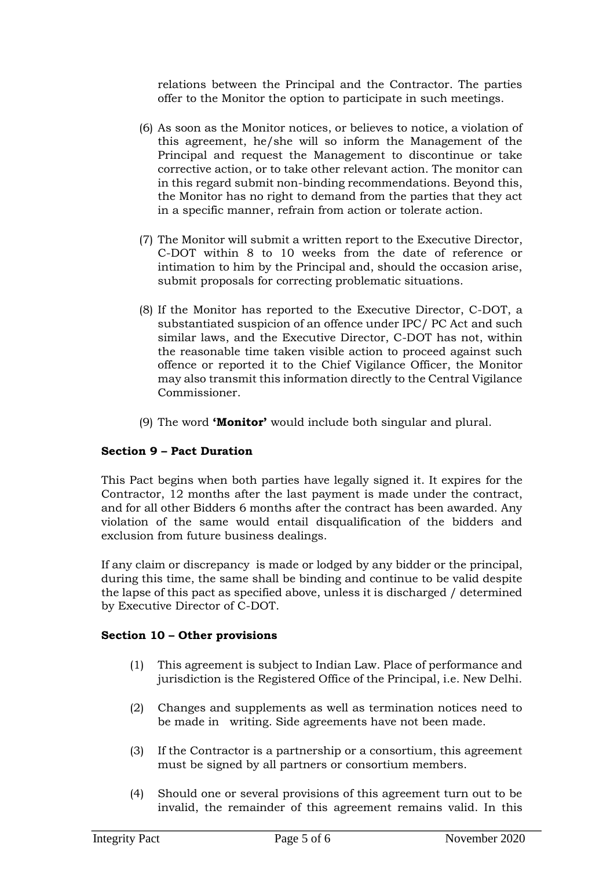relations between the Principal and the Contractor. The parties offer to the Monitor the option to participate in such meetings.

- (6) As soon as the Monitor notices, or believes to notice, a violation of this agreement, he/she will so inform the Management of the Principal and request the Management to discontinue or take corrective action, or to take other relevant action. The monitor can in this regard submit non-binding recommendations. Beyond this, the Monitor has no right to demand from the parties that they act in a specific manner, refrain from action or tolerate action.
- (7) The Monitor will submit a written report to the Executive Director, C-DOT within 8 to 10 weeks from the date of reference or intimation to him by the Principal and, should the occasion arise, submit proposals for correcting problematic situations.
- (8) If the Monitor has reported to the Executive Director, C-DOT, a substantiated suspicion of an offence under IPC/ PC Act and such similar laws, and the Executive Director, C-DOT has not, within the reasonable time taken visible action to proceed against such offence or reported it to the Chief Vigilance Officer, the Monitor may also transmit this information directly to the Central Vigilance Commissioner.
- (9) The word **'Monitor'** would include both singular and plural.

# **Section 9 – Pact Duration**

This Pact begins when both parties have legally signed it. It expires for the Contractor, 12 months after the last payment is made under the contract, and for all other Bidders 6 months after the contract has been awarded. Any violation of the same would entail disqualification of the bidders and exclusion from future business dealings.

If any claim or discrepancy is made or lodged by any bidder or the principal, during this time, the same shall be binding and continue to be valid despite the lapse of this pact as specified above, unless it is discharged / determined by Executive Director of C-DOT.

### **Section 10 – Other provisions**

- (1) This agreement is subject to Indian Law. Place of performance and jurisdiction is the Registered Office of the Principal, i.e. New Delhi.
- (2) Changes and supplements as well as termination notices need to be made in writing. Side agreements have not been made.
- (3) If the Contractor is a partnership or a consortium, this agreement must be signed by all partners or consortium members.
- (4) Should one or several provisions of this agreement turn out to be invalid, the remainder of this agreement remains valid. In this